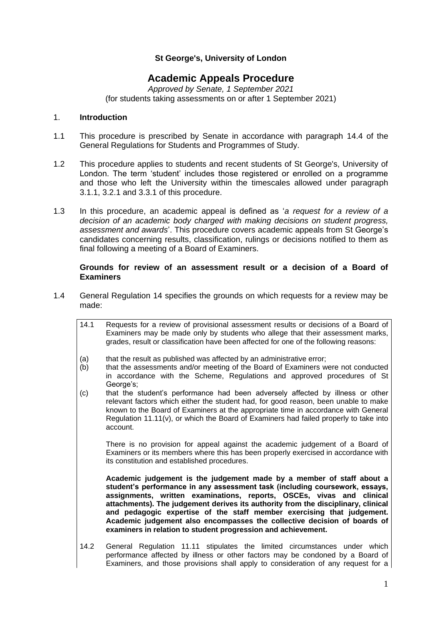# **St George's, University of London**

# **Academic Appeals Procedure**

*Approved by Senate, 1 September 2021* (for students taking assessments on or after 1 September 2021)

#### 1. **Introduction**

- 1.1 This procedure is prescribed by Senate in accordance with paragraph 14.4 of the General Regulations for Students and Programmes of Study.
- 1.2 This procedure applies to students and recent students of St George's, University of London. The term 'student' includes those registered or enrolled on a programme and those who left the University within the timescales allowed under paragraph 3.1.1, 3.2.1 and 3.3.1 of this procedure.
- 1.3 In this procedure, an academic appeal is defined as '*a request for a review of a decision of an academic body charged with making decisions on student progress, assessment and awards*'. This procedure covers academic appeals from St George's candidates concerning results, classification, rulings or decisions notified to them as final following a meeting of a Board of Examiners.

### **Grounds for review of an assessment result or a decision of a Board of Examiners**

- 1.4 General Regulation 14 specifies the grounds on which requests for a review may be made:
	- 14.1 Requests for a review of provisional assessment results or decisions of a Board of Examiners may be made only by students who allege that their assessment marks, grades, result or classification have been affected for one of the following reasons:
	- (a) that the result as published was affected by an administrative error;
	- (b) that the assessments and/or meeting of the Board of Examiners were not conducted in accordance with the Scheme, Regulations and approved procedures of St George's;
	- (c) that the student's performance had been adversely affected by illness or other relevant factors which either the student had, for good reason, been unable to make known to the Board of Examiners at the appropriate time in accordance with General Regulation  $11.11(v)$ , or which the Board of Examiners had failed properly to take into account.

There is no provision for appeal against the academic judgement of a Board of Examiners or its members where this has been properly exercised in accordance with its constitution and established procedures.

**Academic judgement is the judgement made by a member of staff about a student's performance in any assessment task (including coursework, essays, assignments, written examinations, reports, OSCEs, vivas and clinical attachments). The judgement derives its authority from the disciplinary, clinical and pedagogic expertise of the staff member exercising that judgement. Academic judgement also encompasses the collective decision of boards of examiners in relation to student progression and achievement.**

14.2 General Regulation 11.11 stipulates the limited circumstances under which performance affected by illness or other factors may be condoned by a Board of Examiners, and those provisions shall apply to consideration of any request for a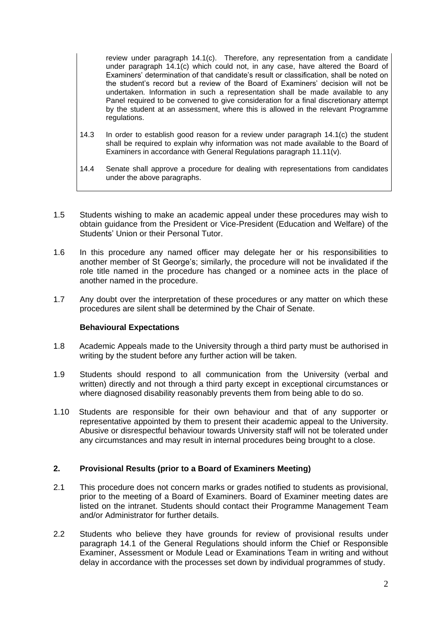review under paragraph 14.1(c). Therefore, any representation from a candidate under paragraph 14.1(c) which could not, in any case, have altered the Board of Examiners' determination of that candidate's result or classification, shall be noted on the student's record but a review of the Board of Examiners' decision will not be undertaken. Information in such a representation shall be made available to any Panel required to be convened to give consideration for a final discretionary attempt by the student at an assessment, where this is allowed in the relevant Programme regulations.

- 14.3 In order to establish good reason for a review under paragraph 14.1(c) the student shall be required to explain why information was not made available to the Board of Examiners in accordance with General Regulations paragraph 11.11(v).
- 14.4 Senate shall approve a procedure for dealing with representations from candidates under the above paragraphs.
- 1.5 Students wishing to make an academic appeal under these procedures may wish to obtain guidance from the President or Vice-President (Education and Welfare) of the Students' Union or their Personal Tutor.
- 1.6 In this procedure any named officer may delegate her or his responsibilities to another member of St George's; similarly, the procedure will not be invalidated if the role title named in the procedure has changed or a nominee acts in the place of another named in the procedure.
- 1.7 Any doubt over the interpretation of these procedures or any matter on which these procedures are silent shall be determined by the Chair of Senate.

# **Behavioural Expectations**

- 1.8 Academic Appeals made to the University through a third party must be authorised in writing by the student before any further action will be taken.
- 1.9 Students should respond to all communication from the University (verbal and written) directly and not through a third party except in exceptional circumstances or where diagnosed disability reasonably prevents them from being able to do so.
- 1.10 Students are responsible for their own behaviour and that of any supporter or representative appointed by them to present their academic appeal to the University. Abusive or disrespectful behaviour towards University staff will not be tolerated under any circumstances and may result in internal procedures being brought to a close.

# **2. Provisional Results (prior to a Board of Examiners Meeting)**

- 2.1 This procedure does not concern marks or grades notified to students as provisional, prior to the meeting of a Board of Examiners. Board of Examiner meeting dates are listed on the intranet. Students should contact their Programme Management Team and/or Administrator for further details.
- 2.2 Students who believe they have grounds for review of provisional results under paragraph 14.1 of the General Regulations should inform the Chief or Responsible Examiner, Assessment or Module Lead or Examinations Team in writing and without delay in accordance with the processes set down by individual programmes of study.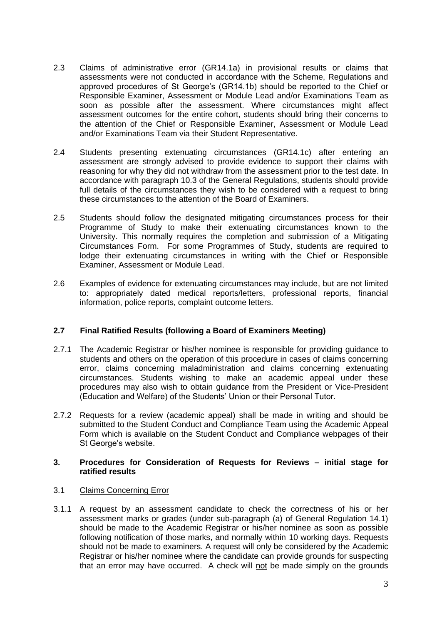- 2.3 Claims of administrative error (GR14.1a) in provisional results or claims that assessments were not conducted in accordance with the Scheme, Regulations and approved procedures of St George's (GR14.1b) should be reported to the Chief or Responsible Examiner, Assessment or Module Lead and/or Examinations Team as soon as possible after the assessment. Where circumstances might affect assessment outcomes for the entire cohort, students should bring their concerns to the attention of the Chief or Responsible Examiner, Assessment or Module Lead and/or Examinations Team via their Student Representative.
- 2.4 Students presenting extenuating circumstances (GR14.1c) after entering an assessment are strongly advised to provide evidence to support their claims with reasoning for why they did not withdraw from the assessment prior to the test date. In accordance with paragraph 10.3 of the General Regulations, students should provide full details of the circumstances they wish to be considered with a request to bring these circumstances to the attention of the Board of Examiners.
- 2.5 Students should follow the designated mitigating circumstances process for their Programme of Study to make their extenuating circumstances known to the University. This normally requires the completion and submission of a Mitigating Circumstances Form. For some Programmes of Study, students are required to lodge their extenuating circumstances in writing with the Chief or Responsible Examiner, Assessment or Module Lead.
- 2.6 Examples of evidence for extenuating circumstances may include, but are not limited to: appropriately dated medical reports/letters, professional reports, financial information, police reports, complaint outcome letters.

# **2.7 Final Ratified Results (following a Board of Examiners Meeting)**

- 2.7.1 The Academic Registrar or his/her nominee is responsible for providing guidance to students and others on the operation of this procedure in cases of claims concerning error, claims concerning maladministration and claims concerning extenuating circumstances. Students wishing to make an academic appeal under these procedures may also wish to obtain guidance from the President or Vice-President (Education and Welfare) of the Students' Union or their Personal Tutor.
- 2.7.2 Requests for a review (academic appeal) shall be made in writing and should be submitted to the Student Conduct and Compliance Team using the Academic Appeal Form which is available on the Student Conduct and Compliance webpages of their St George's website.

# **3. Procedures for Consideration of Requests for Reviews – initial stage for ratified results**

# 3.1 Claims Concerning Error

3.1.1 A request by an assessment candidate to check the correctness of his or her assessment marks or grades (under sub-paragraph (a) of General Regulation 14.1) should be made to the Academic Registrar or his/her nominee as soon as possible following notification of those marks, and normally within 10 working days. Requests should not be made to examiners. A request will only be considered by the Academic Registrar or his/her nominee where the candidate can provide grounds for suspecting that an error may have occurred. A check will not be made simply on the grounds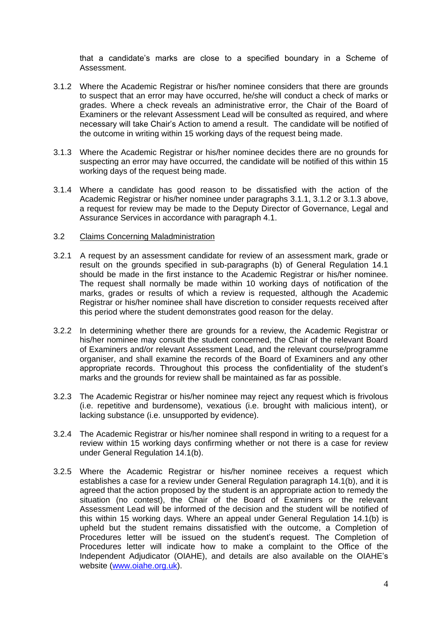that a candidate's marks are close to a specified boundary in a Scheme of Assessment.

- 3.1.2 Where the Academic Registrar or his/her nominee considers that there are grounds to suspect that an error may have occurred, he/she will conduct a check of marks or grades. Where a check reveals an administrative error, the Chair of the Board of Examiners or the relevant Assessment Lead will be consulted as required, and where necessary will take Chair's Action to amend a result. The candidate will be notified of the outcome in writing within 15 working days of the request being made.
- 3.1.3 Where the Academic Registrar or his/her nominee decides there are no grounds for suspecting an error may have occurred, the candidate will be notified of this within 15 working days of the request being made.
- 3.1.4 Where a candidate has good reason to be dissatisfied with the action of the Academic Registrar or his/her nominee under paragraphs 3.1.1, 3.1.2 or 3.1.3 above, a request for review may be made to the Deputy Director of Governance, Legal and Assurance Services in accordance with paragraph 4.1.

### 3.2 Claims Concerning Maladministration

- 3.2.1 A request by an assessment candidate for review of an assessment mark, grade or result on the grounds specified in sub-paragraphs (b) of General Regulation 14.1 should be made in the first instance to the Academic Registrar or his/her nominee. The request shall normally be made within 10 working days of notification of the marks, grades or results of which a review is requested, although the Academic Registrar or his/her nominee shall have discretion to consider requests received after this period where the student demonstrates good reason for the delay.
- 3.2.2 In determining whether there are grounds for a review, the Academic Registrar or his/her nominee may consult the student concerned, the Chair of the relevant Board of Examiners and/or relevant Assessment Lead, and the relevant course/programme organiser, and shall examine the records of the Board of Examiners and any other appropriate records. Throughout this process the confidentiality of the student's marks and the grounds for review shall be maintained as far as possible.
- 3.2.3 The Academic Registrar or his/her nominee may reject any request which is frivolous (i.e. repetitive and burdensome), vexatious (i.e. brought with malicious intent), or lacking substance (i.e. unsupported by evidence).
- 3.2.4 The Academic Registrar or his/her nominee shall respond in writing to a request for a review within 15 working days confirming whether or not there is a case for review under General Regulation 14.1(b).
- 3.2.5 Where the Academic Registrar or his/her nominee receives a request which establishes a case for a review under General Regulation paragraph 14.1(b), and it is agreed that the action proposed by the student is an appropriate action to remedy the situation (no contest), the Chair of the Board of Examiners or the relevant Assessment Lead will be informed of the decision and the student will be notified of this within 15 working days. Where an appeal under General Regulation 14.1(b) is upheld but the student remains dissatisfied with the outcome, a Completion of Procedures letter will be issued on the student's request. The Completion of Procedures letter will indicate how to make a complaint to the Office of the Independent Adjudicator (OIAHE), and details are also available on the OIAHE's website [\(www.oiahe.org.uk\)](http://www.oiahe.org.uk/).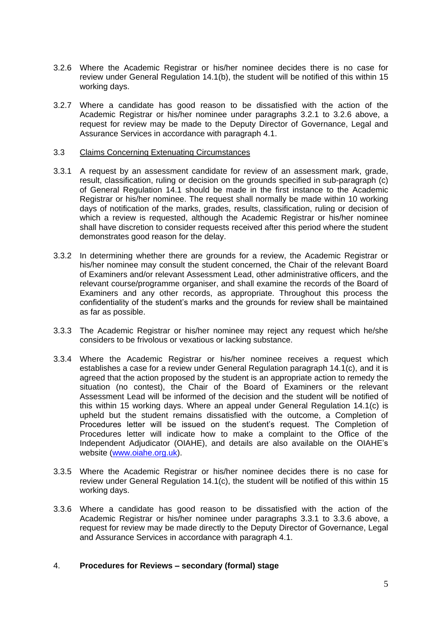- 3.2.6 Where the Academic Registrar or his/her nominee decides there is no case for review under General Regulation 14.1(b), the student will be notified of this within 15 working days.
- 3.2.7 Where a candidate has good reason to be dissatisfied with the action of the Academic Registrar or his/her nominee under paragraphs 3.2.1 to 3.2.6 above, a request for review may be made to the Deputy Director of Governance, Legal and Assurance Services in accordance with paragraph 4.1.

### 3.3 Claims Concerning Extenuating Circumstances

- 3.3.1 A request by an assessment candidate for review of an assessment mark, grade, result, classification, ruling or decision on the grounds specified in sub-paragraph (c) of General Regulation 14.1 should be made in the first instance to the Academic Registrar or his/her nominee. The request shall normally be made within 10 working days of notification of the marks, grades, results, classification, ruling or decision of which a review is requested, although the Academic Registrar or his/her nominee shall have discretion to consider requests received after this period where the student demonstrates good reason for the delay.
- 3.3.2 In determining whether there are grounds for a review, the Academic Registrar or his/her nominee may consult the student concerned, the Chair of the relevant Board of Examiners and/or relevant Assessment Lead, other administrative officers, and the relevant course/programme organiser, and shall examine the records of the Board of Examiners and any other records, as appropriate. Throughout this process the confidentiality of the student's marks and the grounds for review shall be maintained as far as possible.
- 3.3.3 The Academic Registrar or his/her nominee may reject any request which he/she considers to be frivolous or vexatious or lacking substance.
- 3.3.4 Where the Academic Registrar or his/her nominee receives a request which establishes a case for a review under General Regulation paragraph 14.1(c), and it is agreed that the action proposed by the student is an appropriate action to remedy the situation (no contest), the Chair of the Board of Examiners or the relevant Assessment Lead will be informed of the decision and the student will be notified of this within 15 working days. Where an appeal under General Regulation 14.1(c) is upheld but the student remains dissatisfied with the outcome, a Completion of Procedures letter will be issued on the student's request. The Completion of Procedures letter will indicate how to make a complaint to the Office of the Independent Adjudicator (OIAHE), and details are also available on the OIAHE's website [\(www.oiahe.org.uk\)](http://www.oiahe.org.uk/).
- 3.3.5 Where the Academic Registrar or his/her nominee decides there is no case for review under General Regulation 14.1(c), the student will be notified of this within 15 working days.
- 3.3.6 Where a candidate has good reason to be dissatisfied with the action of the Academic Registrar or his/her nominee under paragraphs 3.3.1 to 3.3.6 above, a request for review may be made directly to the Deputy Director of Governance, Legal and Assurance Services in accordance with paragraph 4.1.

#### 4. **Procedures for Reviews – secondary (formal) stage**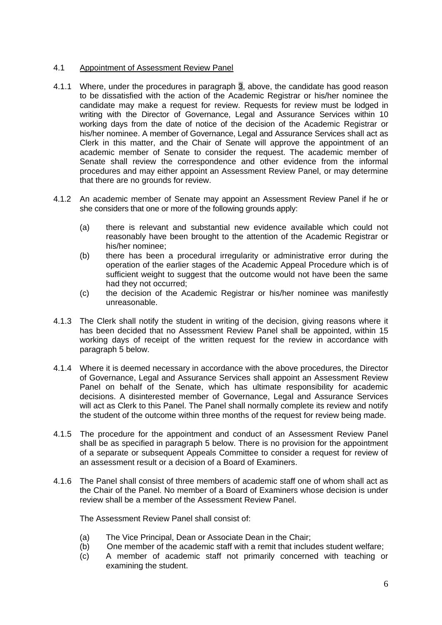# 4.1 Appointment of Assessment Review Panel

- 4.1.1 Where, under the procedures in paragraph 3, above, the candidate has good reason to be dissatisfied with the action of the Academic Registrar or his/her nominee the candidate may make a request for review. Requests for review must be lodged in writing with the Director of Governance, Legal and Assurance Services within 10 working days from the date of notice of the decision of the Academic Registrar or his/her nominee. A member of Governance, Legal and Assurance Services shall act as Clerk in this matter, and the Chair of Senate will approve the appointment of an academic member of Senate to consider the request. The academic member of Senate shall review the correspondence and other evidence from the informal procedures and may either appoint an Assessment Review Panel, or may determine that there are no grounds for review.
- 4.1.2 An academic member of Senate may appoint an Assessment Review Panel if he or she considers that one or more of the following grounds apply:
	- (a) there is relevant and substantial new evidence available which could not reasonably have been brought to the attention of the Academic Registrar or his/her nominee;
	- (b) there has been a procedural irregularity or administrative error during the operation of the earlier stages of the Academic Appeal Procedure which is of sufficient weight to suggest that the outcome would not have been the same had they not occurred;
	- (c) the decision of the Academic Registrar or his/her nominee was manifestly unreasonable.
- 4.1.3 The Clerk shall notify the student in writing of the decision, giving reasons where it has been decided that no Assessment Review Panel shall be appointed, within 15 working days of receipt of the written request for the review in accordance with paragraph 5 below.
- 4.1.4 Where it is deemed necessary in accordance with the above procedures, the Director of Governance, Legal and Assurance Services shall appoint an Assessment Review Panel on behalf of the Senate, which has ultimate responsibility for academic decisions. A disinterested member of Governance, Legal and Assurance Services will act as Clerk to this Panel. The Panel shall normally complete its review and notify the student of the outcome within three months of the request for review being made.
- 4.1.5 The procedure for the appointment and conduct of an Assessment Review Panel shall be as specified in paragraph 5 below. There is no provision for the appointment of a separate or subsequent Appeals Committee to consider a request for review of an assessment result or a decision of a Board of Examiners.
- 4.1.6 The Panel shall consist of three members of academic staff one of whom shall act as the Chair of the Panel. No member of a Board of Examiners whose decision is under review shall be a member of the Assessment Review Panel.

The Assessment Review Panel shall consist of:

- (a) The Vice Principal, Dean or Associate Dean in the Chair;
- (b) One member of the academic staff with a remit that includes student welfare;
- (c) A member of academic staff not primarily concerned with teaching or examining the student.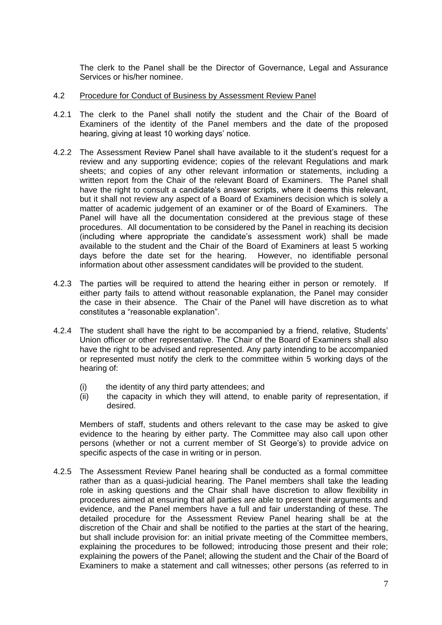The clerk to the Panel shall be the Director of Governance, Legal and Assurance Services or his/her nominee.

- 4.2 Procedure for Conduct of Business by Assessment Review Panel
- 4.2.1 The clerk to the Panel shall notify the student and the Chair of the Board of Examiners of the identity of the Panel members and the date of the proposed hearing, giving at least 10 working days' notice.
- 4.2.2 The Assessment Review Panel shall have available to it the student's request for a review and any supporting evidence; copies of the relevant Regulations and mark sheets; and copies of any other relevant information or statements, including a written report from the Chair of the relevant Board of Examiners. The Panel shall have the right to consult a candidate's answer scripts, where it deems this relevant, but it shall not review any aspect of a Board of Examiners decision which is solely a matter of academic judgement of an examiner or of the Board of Examiners. The Panel will have all the documentation considered at the previous stage of these procedures. All documentation to be considered by the Panel in reaching its decision (including where appropriate the candidate's assessment work) shall be made available to the student and the Chair of the Board of Examiners at least 5 working days before the date set for the hearing. However, no identifiable personal information about other assessment candidates will be provided to the student.
- 4.2.3 The parties will be required to attend the hearing either in person or remotely. If either party fails to attend without reasonable explanation, the Panel may consider the case in their absence. The Chair of the Panel will have discretion as to what constitutes a "reasonable explanation".
- 4.2.4 The student shall have the right to be accompanied by a friend, relative, Students' Union officer or other representative. The Chair of the Board of Examiners shall also have the right to be advised and represented. Any party intending to be accompanied or represented must notify the clerk to the committee within 5 working days of the hearing of:
	- (i) the identity of any third party attendees; and
	- (ii) the capacity in which they will attend, to enable parity of representation, if desired.

Members of staff, students and others relevant to the case may be asked to give evidence to the hearing by either party. The Committee may also call upon other persons (whether or not a current member of St George's) to provide advice on specific aspects of the case in writing or in person.

4.2.5 The Assessment Review Panel hearing shall be conducted as a formal committee rather than as a quasi-judicial hearing. The Panel members shall take the leading role in asking questions and the Chair shall have discretion to allow flexibility in procedures aimed at ensuring that all parties are able to present their arguments and evidence, and the Panel members have a full and fair understanding of these. The detailed procedure for the Assessment Review Panel hearing shall be at the discretion of the Chair and shall be notified to the parties at the start of the hearing, but shall include provision for: an initial private meeting of the Committee members, explaining the procedures to be followed; introducing those present and their role; explaining the powers of the Panel; allowing the student and the Chair of the Board of Examiners to make a statement and call witnesses; other persons (as referred to in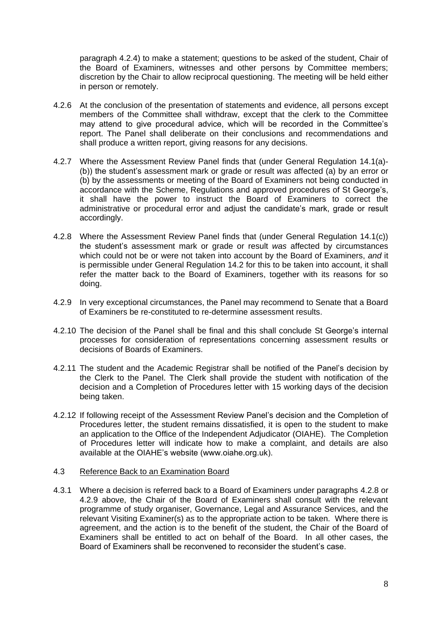paragraph 4.2.4) to make a statement; questions to be asked of the student, Chair of the Board of Examiners, witnesses and other persons by Committee members; discretion by the Chair to allow reciprocal questioning. The meeting will be held either in person or remotely.

- 4.2.6 At the conclusion of the presentation of statements and evidence, all persons except members of the Committee shall withdraw, except that the clerk to the Committee may attend to give procedural advice, which will be recorded in the Committee's report. The Panel shall deliberate on their conclusions and recommendations and shall produce a written report, giving reasons for any decisions.
- 4.2.7 Where the Assessment Review Panel finds that (under General Regulation 14.1(a)- (b)) the student's assessment mark or grade or result *was* affected (a) by an error or (b) by the assessments or meeting of the Board of Examiners not being conducted in accordance with the Scheme, Regulations and approved procedures of St George's, it shall have the power to instruct the Board of Examiners to correct the administrative or procedural error and adjust the candidate's mark, grade or result accordingly.
- 4.2.8 Where the Assessment Review Panel finds that (under General Regulation 14.1(c)) the student's assessment mark or grade or result *was* affected by circumstances which could not be or were not taken into account by the Board of Examiners, *and* it is permissible under General Regulation 14.2 for this to be taken into account, it shall refer the matter back to the Board of Examiners, together with its reasons for so doing.
- 4.2.9 In very exceptional circumstances, the Panel may recommend to Senate that a Board of Examiners be re-constituted to re-determine assessment results.
- 4.2.10 The decision of the Panel shall be final and this shall conclude St George's internal processes for consideration of representations concerning assessment results or decisions of Boards of Examiners.
- 4.2.11 The student and the Academic Registrar shall be notified of the Panel's decision by the Clerk to the Panel. The Clerk shall provide the student with notification of the decision and a Completion of Procedures letter with 15 working days of the decision being taken.
- 4.2.12 If following receipt of the Assessment Review Panel's decision and the Completion of Procedures letter, the student remains dissatisfied, it is open to the student to make an application to the Office of the Independent Adjudicator (OIAHE). The Completion of Procedures letter will indicate how to make a complaint, and details are also available at the OIAHE's website (www.oiahe.org.uk).

### 4.3 Reference Back to an Examination Board

4.3.1 Where a decision is referred back to a Board of Examiners under paragraphs 4.2.8 or 4.2.9 above, the Chair of the Board of Examiners shall consult with the relevant programme of study organiser, Governance, Legal and Assurance Services, and the relevant Visiting Examiner(s) as to the appropriate action to be taken. Where there is agreement, and the action is to the benefit of the student, the Chair of the Board of Examiners shall be entitled to act on behalf of the Board. In all other cases, the Board of Examiners shall be reconvened to reconsider the student's case.